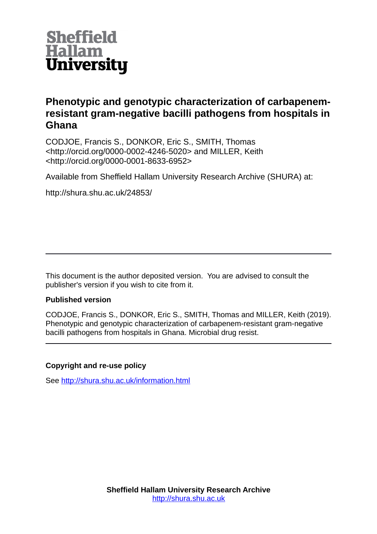

# **Phenotypic and genotypic characterization of carbapenemresistant gram-negative bacilli pathogens from hospitals in Ghana**

CODJOE, Francis S., DONKOR, Eric S., SMITH, Thomas <http://orcid.org/0000-0002-4246-5020> and MILLER, Keith <http://orcid.org/0000-0001-8633-6952>

Available from Sheffield Hallam University Research Archive (SHURA) at:

http://shura.shu.ac.uk/24853/

This document is the author deposited version. You are advised to consult the publisher's version if you wish to cite from it.

# **Published version**

CODJOE, Francis S., DONKOR, Eric S., SMITH, Thomas and MILLER, Keith (2019). Phenotypic and genotypic characterization of carbapenem-resistant gram-negative bacilli pathogens from hospitals in Ghana. Microbial drug resist.

# **Copyright and re-use policy**

See<http://shura.shu.ac.uk/information.html>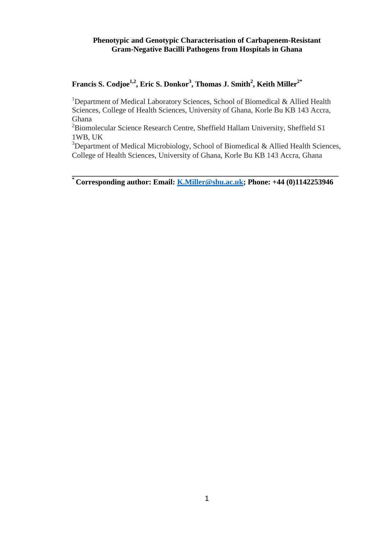# **Phenotypic and Genotypic Characterisation of Carbapenem-Resistant Gram-Negative Bacilli Pathogens from Hospitals in Ghana**

# **Francis S. Codjoe1,2, Eric S. Donkor<sup>3</sup> , Thomas J. Smith<sup>2</sup> , Keith Miller2\***

<sup>1</sup>Department of Medical Laboratory Sciences, School of Biomedical & Allied Health Sciences, College of Health Sciences, University of Ghana, Korle Bu KB 143 Accra, Ghana

<sup>2</sup>Biomolecular Science Research Centre, Sheffield Hallam University, Sheffield S1 1WB, UK

 $3$ Department of Medical Microbiology, School of Biomedical & Allied Health Sciences, College of Health Sciences, University of Ghana, Korle Bu KB 143 Accra, Ghana

**\_\_\_\_\_\_\_\_\_\_\_\_\_\_\_\_\_\_\_\_\_\_\_\_\_\_\_\_\_\_\_\_\_\_\_\_\_\_\_\_\_\_\_\_\_\_\_\_\_\_\_\_\_\_\_\_\_\_\_\_\_\_\_\_\_\_\_\_\_\_ \* Corresponding author: Email: [K.Miller@shu.ac.uk;](mailto:K.Miller@shu.ac.uk) Phone: +44 (0)1142253946**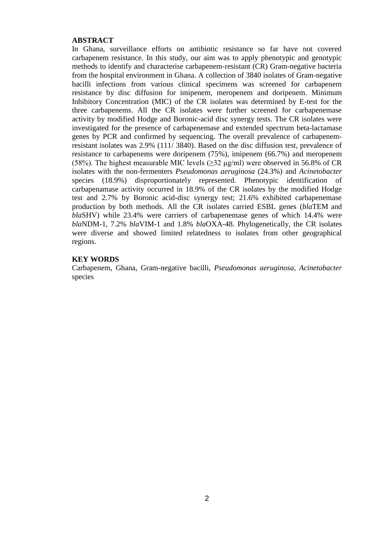### **ABSTRACT**

In Ghana, surveillance efforts on antibiotic resistance so far have not covered carbapenem resistance. In this study, our aim was to apply phenotypic and genotypic methods to identify and characterise carbapenem-resistant (CR) Gram-negative bacteria from the hospital environment in Ghana. A collection of 3840 isolates of Gram-negative bacilli infections from various clinical specimens was screened for carbapenem resistance by disc diffusion for imipenem, meropenem and doripenem. Minimum Inhibitory Concentration (MIC) of the CR isolates was determined by E-test for the three carbapenems. All the CR isolates were further screened for carbapenemase activity by modified Hodge and Boronic-acid disc synergy tests. The CR isolates were investigated for the presence of carbapenemase and extended spectrum beta-lactamase genes by PCR and confirmed by sequencing. The overall prevalence of carbapenemresistant isolates was 2.9% (111/ 3840). Based on the disc diffusion test, prevalence of resistance to carbapenems were doripenem (75%), imipenem (66.7%) and meropenem (58%). The highest measurable MIC levels ( $\geq$ 32 μg/ml) were observed in 56.8% of CR isolates with the non-fermenters *Pseudomonas aeruginosa* (24.3%) and *Acinetobacter*  species (18.9%) disproportionately represented. Phenotypic identification of carbapenamase activity occurred in 18.9% of the CR isolates by the modified Hodge test and 2.7% by Boronic acid-disc synergy test; 21.6% exhibited carbapenemase production by both methods. All the CR isolates carried ESBL genes (*bla*TEM and *bla*SHV) while 23.4% were carriers of carbapenemase genes of which 14.4% were *bla*NDM-1, 7.2% *bla*VIM-1 and 1.8% *bla*OXA-48. Phylogenetically, the CR isolates were diverse and showed limited relatedness to isolates from other geographical regions.

# **KEY WORDS**

Carbapenem, Ghana, Gram-negative bacilli, *Pseudomonas aeruginosa, Acinetobacter*  species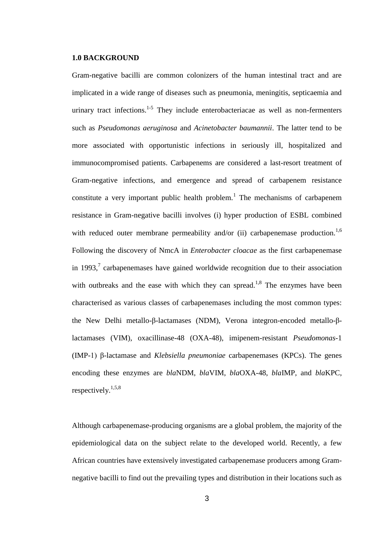#### **1.0 BACKGROUND**

Gram-negative bacilli are common colonizers of the human intestinal tract and are implicated in a wide range of diseases such as pneumonia, meningitis, septicaemia and urinary tract infections.<sup>1-5</sup> They include enterobacteriacae as well as non-fermenters such as *Pseudomonas aeruginosa* and *Acinetobacter baumannii*. The latter tend to be more associated with opportunistic infections in seriously ill, hospitalized and immunocompromised patients. Carbapenems are considered a last-resort treatment of Gram-negative infections, and emergence and spread of carbapenem resistance constitute a very important public health problem.<sup>1</sup> The mechanisms of carbapenem resistance in Gram-negative bacilli involves (i) hyper production of ESBL combined with reduced outer membrane permeability and/or (ii) carbapenemase production.<sup>1,6</sup> Following the discovery of NmcA in *Enterobacter cloacae* as the first carbapenemase in 1993, $\frac{7}{7}$  carbapenemases have gained worldwide recognition due to their association with outbreaks and the ease with which they can spread.<sup>1,8</sup> The enzymes have been characterised as various classes of carbapenemases including the most common types: the New Delhi metallo-β-lactamases (NDM), Verona integron-encoded metallo-βlactamases (VIM), oxacillinase-48 (OXA-48), imipenem-resistant *Pseudomonas*-1 (IMP-1) β-lactamase and *Klebsiella pneumoniae* carbapenemases (KPCs). The genes encoding these enzymes are *bla*NDM, *bla*VIM, *bla*OXA-48, *bla*IMP, and *bla*KPC, respectively.<sup>1,5,8</sup>

Although carbapenemase-producing organisms are a global problem, the majority of the epidemiological data on the subject relate to the developed world. Recently, a few African countries have extensively investigated carbapenemase producers among Gramnegative bacilli to find out the prevailing types and distribution in their locations such as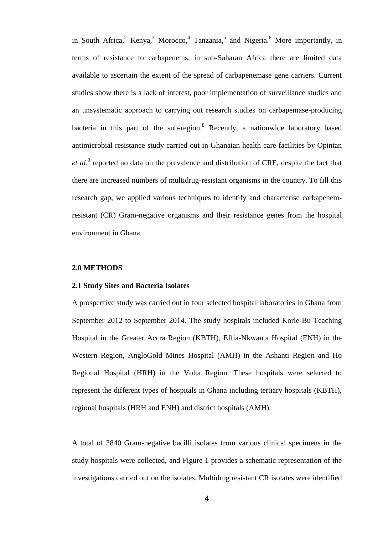in South Africa,  $2$  Kenya,  $3$  Morocco,  $4$  Tanzania,  $5$  and Nigeria.  $6$  More importantly, in terms of resistance to carbapenems, in sub-Saharan Africa there are limited data available to ascertain the extent of the spread of carbapenemase gene carriers. Current studies show there is a lack of interest, poor implementation of surveillance studies and an unsystematic approach to carrying out research studies on carbapemase-producing bacteria in this part of the sub-region.<sup>8</sup> Recently, a nationwide laboratory based antimicrobial resistance study carried out in Ghanaian health care facilities by Opintan et al.<sup>9</sup> reported no data on the prevalence and distribution of CRE, despite the fact that there are increased numbers of multidrug-resistant organisms in the country. To fill this research gap, we applied various techniques to identify and characterise carbapenemresistant (CR) Gram-negative organisms and their resistance genes from the hospital environment in Ghana.

# **2.0 METHODS**

#### **2.1 Study Sites and Bacteria Isolates**

A prospective study was carried out in four selected hospital laboratories in Ghana from September 2012 to September 2014. The study hospitals included Korle-Bu Teaching Hospital in the Greater Accra Region (KBTH), Effia-Nkwanta Hospital (ENH) in the Western Region, AngloGold Mines Hospital (AMH) in the Ashanti Region and Ho Regional Hospital (HRH) in the Volta Region. These hospitals were selected to represent the different types of hospitals in Ghana including tertiary hospitals (KBTH), regional hospitals (HRH and ENH) and district hospitals (AMH).

A total of 3840 Gram-negative bacilli isolates from various clinical specimens in the study hospitals were collected, and Figure 1 provides a schematic representation of the investigations carried out on the isolates. Multidrug resistant CR isolates were identified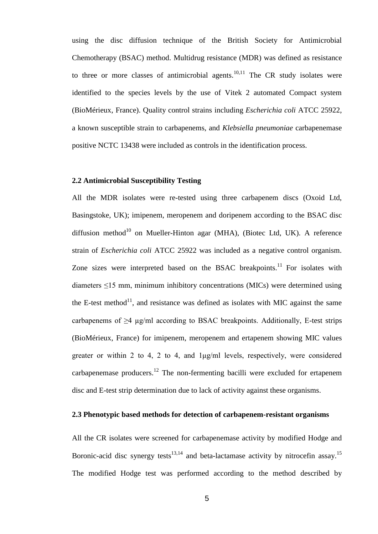using the disc diffusion technique of the British Society for Antimicrobial Chemotherapy (BSAC) method. Multidrug resistance (MDR) was defined as resistance to three or more classes of antimicrobial agents.<sup>10,11</sup> The CR study isolates were identified to the species levels by the use of Vitek 2 automated Compact system (BioMérieux, France). Quality control strains including *Escherichia coli* ATCC 25922, a known susceptible strain to carbapenems, and *Klebsiella pneumoniae* carbapenemase positive NCTC 13438 were included as controls in the identification process.

# **2.2 Antimicrobial Susceptibility Testing**

All the MDR isolates were re-tested using three carbapenem discs (Oxoid Ltd, Basingstoke, UK); imipenem, meropenem and doripenem according to the BSAC disc diffusion method<sup>10</sup> on Mueller-Hinton agar (MHA), (Biotec Ltd, UK). A reference strain of *Escherichia coli* ATCC 25922 was included as a negative control organism. Zone sizes were interpreted based on the BSAC breakpoints.<sup>11</sup> For isolates with diameters ≤15 mm, minimum inhibitory concentrations (MICs) were determined using the E-test method $^{11}$ , and resistance was defined as isolates with MIC against the same carbapenems of  $\geq 4$  µg/ml according to BSAC breakpoints. Additionally, E-test strips (BioMérieux, France) for imipenem, meropenem and ertapenem showing MIC values greater or within 2 to 4, 2 to 4, and 1μg/ml levels, respectively, were considered carbapenemase producers.<sup>12</sup> The non-fermenting bacilli were excluded for ertapenem disc and E-test strip determination due to lack of activity against these organisms.

#### **2.3 Phenotypic based methods for detection of carbapenem-resistant organisms**

All the CR isolates were screened for carbapenemase activity by modified Hodge and Boronic-acid disc synergy tests<sup>13,14</sup> and beta-lactamase activity by nitrocefin assay.<sup>15</sup> The modified Hodge test was performed according to the method described by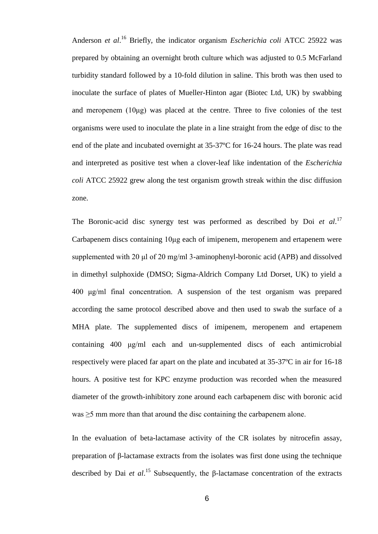Anderson *et al*. <sup>16</sup> Briefly, the indicator organism *Escherichia coli* ATCC 25922 was prepared by obtaining an overnight broth culture which was adjusted to 0.5 McFarland turbidity standard followed by a 10-fold dilution in saline. This broth was then used to inoculate the surface of plates of Mueller-Hinton agar (Biotec Ltd, UK) by swabbing and meropenem  $(10\mu g)$  was placed at the centre. Three to five colonies of the test organisms were used to inoculate the plate in a line straight from the edge of disc to the end of the plate and incubated overnight at 35-37ºC for 16-24 hours. The plate was read and interpreted as positive test when a clover-leaf like indentation of the *Escherichia coli* ATCC 25922 grew along the test organism growth streak within the disc diffusion zone.

The Boronic-acid disc synergy test was performed as described by Doi *et al*. 17 Carbapenem discs containing 10μg each of imipenem, meropenem and ertapenem were supplemented with 20 μl of 20 mg/ml 3-aminophenyl-boronic acid (APB) and dissolved in dimethyl sulphoxide (DMSO; Sigma-Aldrich Company Ltd Dorset, UK) to yield a 400 μg/ml final concentration. A suspension of the test organism was prepared according the same protocol described above and then used to swab the surface of a MHA plate. The supplemented discs of imipenem, meropenem and ertapenem containing 400 μg/ml each and un-supplemented discs of each antimicrobial respectively were placed far apart on the plate and incubated at 35-37ºC in air for 16-18 hours. A positive test for KPC enzyme production was recorded when the measured diameter of the growth-inhibitory zone around each carbapenem disc with boronic acid was ≥5 mm more than that around the disc containing the carbapenem alone.

In the evaluation of beta-lactamase activity of the CR isolates by nitrocefin assay, preparation of β-lactamase extracts from the isolates was first done using the technique described by Dai *et al*. <sup>15</sup> Subsequently, the β-lactamase concentration of the extracts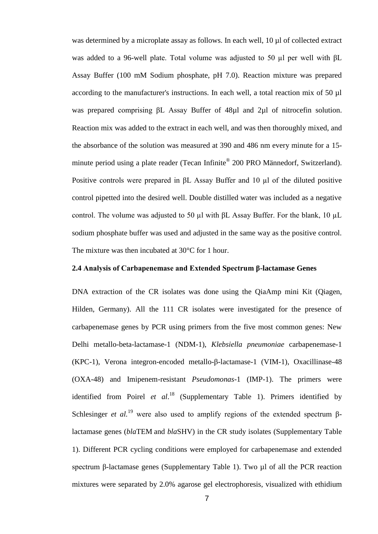was determined by a microplate assay as follows. In each well, 10 µl of collected extract was added to a 96-well plate. Total volume was adjusted to 50 µl per well with βL Assay Buffer (100 mM Sodium phosphate, pH 7.0). Reaction mixture was prepared according to the manufacturer's instructions. In each well, a total reaction mix of 50 µl was prepared comprising βL Assay Buffer of 48µl and 2µl of nitrocefin solution. Reaction mix was added to the extract in each well, and was then thoroughly mixed, and the absorbance of the solution was measured at 390 and 486 nm every minute for a 15 minute period using a plate reader (Tecan Infinite® 200 PRO Männedorf, Switzerland). Positive controls were prepared in βL Assay Buffer and 10 µl of the diluted positive control pipetted into the desired well. Double distilled water was included as a negative control. The volume was adjusted to 50 µl with  $\beta$ L Assay Buffer. For the blank, 10 µL sodium phosphate buffer was used and adjusted in the same way as the positive control. The mixture was then incubated at 30°C for 1 hour.

### **2.4 Analysis of Carbapenemase and Extended Spectrum β-lactamase Genes**

DNA extraction of the CR isolates was done using the QiaAmp mini Kit (Qiagen, Hilden, Germany). All the 111 CR isolates were investigated for the presence of carbapenemase genes by PCR using primers from the five most common genes: New Delhi metallo-beta-lactamase-1 (NDM-1), *Klebsiella pneumoniae* carbapenemase-1 (KPC-1), Verona integron-encoded metallo-β-lactamase-1 (VIM-1), Oxacillinase-48 (OXA-48) and Imipenem-resistant *Pseudomonas*-1 (IMP-1). The primers were identified from Poirel *et al*. <sup>18</sup> (Supplementary Table 1). Primers identified by Schlesinger *et al.*<sup>19</sup> were also used to amplify regions of the extended spectrum βlactamase genes (*bla*TEM and *bla*SHV) in the CR study isolates (Supplementary Table 1). Different PCR cycling conditions were employed for carbapenemase and extended spectrum β-lactamase genes (Supplementary Table 1). Two μl of all the PCR reaction mixtures were separated by 2.0% agarose gel electrophoresis, visualized with ethidium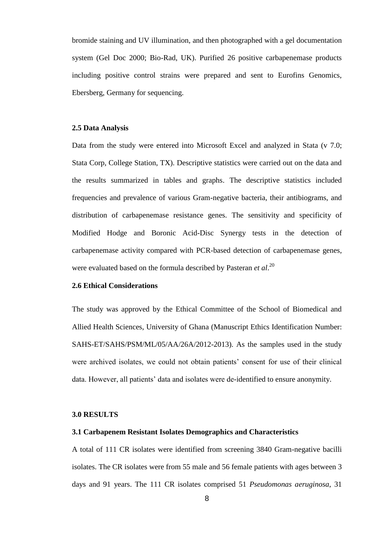bromide staining and UV illumination, and then photographed with a gel documentation system (Gel Doc 2000; Bio-Rad, UK). Purified 26 positive carbapenemase products including positive control strains were prepared and sent to Eurofins Genomics, Ebersberg, Germany for sequencing.

#### **2.5 Data Analysis**

Data from the study were entered into Microsoft Excel and analyzed in Stata (v 7.0; Stata Corp, College Station, TX). Descriptive statistics were carried out on the data and the results summarized in tables and graphs. The descriptive statistics included frequencies and prevalence of various Gram-negative bacteria, their antibiograms, and distribution of carbapenemase resistance genes. The sensitivity and specificity of Modified Hodge and Boronic Acid-Disc Synergy tests in the detection of carbapenemase activity compared with PCR-based detection of carbapenemase genes, were evaluated based on the formula described by Pasteran *et al*. 20

# **2.6 Ethical Considerations**

The study was approved by the Ethical Committee of the School of Biomedical and Allied Health Sciences, University of Ghana (Manuscript Ethics Identification Number: SAHS-ET/SAHS/PSM/ML/05/AA/26A/2012-2013). As the samples used in the study were archived isolates, we could not obtain patients' consent for use of their clinical data. However, all patients' data and isolates were de-identified to ensure anonymity.

#### **3.0 RESULTS**

# **3.1 Carbapenem Resistant Isolates Demographics and Characteristics**

A total of 111 CR isolates were identified from screening 3840 Gram-negative bacilli isolates. The CR isolates were from 55 male and 56 female patients with ages between 3 days and 91 years. The 111 CR isolates comprised 51 *Pseudomonas aeruginosa*, 31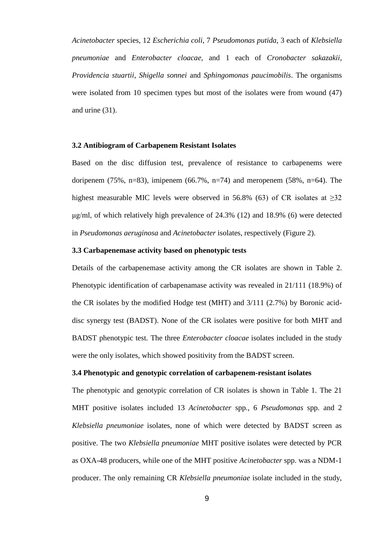*Acinetobacter* species, 12 *Escherichia coli*, 7 *Pseudomonas putida*, 3 each of *Klebsiella pneumoniae* and *Enterobacter cloacae*, and 1 each of *Cronobacter sakazakii*, *Providencia stuartii*, *Shigella sonnei* and *Sphingomonas paucimobilis*. The organisms were isolated from 10 specimen types but most of the isolates were from wound (47) and urine (31).

#### **3.2 Antibiogram of Carbapenem Resistant Isolates**

Based on the disc diffusion test, prevalence of resistance to carbapenems were doripenem (75%, n=83), imipenem (66.7%, n=74) and meropenem (58%, n=64). The highest measurable MIC levels were observed in 56.8% (63) of CR isolates at  $>32$ μg/ml, of which relatively high prevalence of 24.3% (12) and 18.9% (6) were detected in *Pseudomonas aeruginosa* and *Acinetobacter* isolates, respectively (Figure 2).

# **3.3 Carbapenemase activity based on phenotypic tests**

Details of the carbapenemase activity among the CR isolates are shown in Table 2. Phenotypic identification of carbapenamase activity was revealed in 21/111 (18.9%) of the CR isolates by the modified Hodge test (MHT) and 3/111 (2.7%) by Boronic aciddisc synergy test (BADST). None of the CR isolates were positive for both MHT and BADST phenotypic test. The three *Enterobacter cloacae* isolates included in the study were the only isolates, which showed positivity from the BADST screen.

# **3.4 Phenotypic and genotypic correlation of carbapenem-resistant isolates**

The phenotypic and genotypic correlation of CR isolates is shown in Table 1. The 21 MHT positive isolates included 13 *Acinetobacter* spp*.*, 6 *Pseudomonas* spp. and 2 *Klebsiella pneumoniae* isolates, none of which were detected by BADST screen as positive. The two *Klebsiella pneumoniae* MHT positive isolates were detected by PCR as OXA-48 producers, while one of the MHT positive *Acinetobacter* spp. was a NDM-1 producer. The only remaining CR *Klebsiella pneumoniae* isolate included in the study,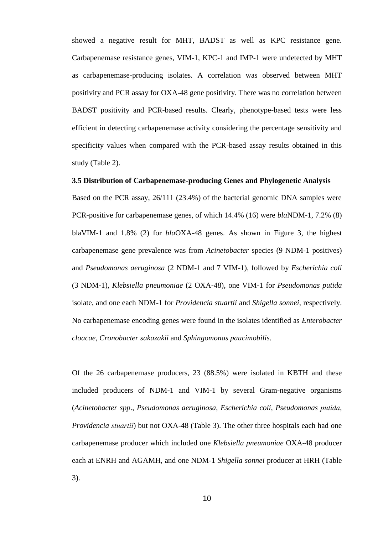showed a negative result for MHT, BADST as well as KPC resistance gene. Carbapenemase resistance genes, VIM-1, KPC-1 and IMP-1 were undetected by MHT as carbapenemase-producing isolates. A correlation was observed between MHT positivity and PCR assay for OXA-48 gene positivity. There was no correlation between BADST positivity and PCR-based results. Clearly, phenotype-based tests were less efficient in detecting carbapenemase activity considering the percentage sensitivity and specificity values when compared with the PCR-based assay results obtained in this study (Table 2).

# **3.5 Distribution of Carbapenemase-producing Genes and Phylogenetic Analysis**

Based on the PCR assay, 26/111 (23.4%) of the bacterial genomic DNA samples were PCR-positive for carbapenemase genes, of which 14.4% (16) were *bla*NDM-1, 7.2% (8) blaVIM-1 and 1.8% (2) for *bla*OXA-48 genes. As shown in Figure 3, the highest carbapenemase gene prevalence was from *Acinetobacter* species (9 NDM-1 positives) and *Pseudomonas aeruginosa* (2 NDM-1 and 7 VIM-1), followed by *Escherichia coli* (3 NDM-1), *Klebsiella pneumoniae* (2 OXA-48), one VIM-1 for *Pseudomonas putida* isolate, and one each NDM-1 for *Providencia stuartii* and *Shigella sonnei*, respectively. No carbapenemase encoding genes were found in the isolates identified as *Enterobacter cloacae*, *Cronobacter sakazakii* and *Sphingomonas paucimobilis*.

Of the 26 carbapenemase producers, 23 (88.5%) were isolated in KBTH and these included producers of NDM-1 and VIM-1 by several Gram-negative organisms (*Acinetobacter spp*., *Pseudomonas aeruginosa*, *Escherichia coli*, *Pseudomonas putida*, *Providencia stuartii*) but not OXA-48 (Table 3). The other three hospitals each had one carbapenemase producer which included one *Klebsiella pneumoniae* OXA-48 producer each at ENRH and AGAMH, and one NDM-1 *Shigella sonnei* producer at HRH (Table 3).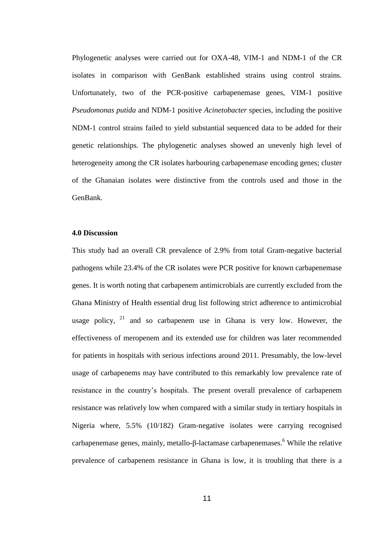Phylogenetic analyses were carried out for OXA-48, VIM-1 and NDM-1 of the CR isolates in comparison with GenBank established strains using control strains. Unfortunately, two of the PCR-positive carbapenemase genes, VIM-1 positive *Pseudomonas putida* and NDM-1 positive *Acinetobacter* species, including the positive NDM-1 control strains failed to yield substantial sequenced data to be added for their genetic relationships. The phylogenetic analyses showed an unevenly high level of heterogeneity among the CR isolates harbouring carbapenemase encoding genes; cluster of the Ghanaian isolates were distinctive from the controls used and those in the GenBank.

# **4.0 Discussion**

This study had an overall CR prevalence of 2.9% from total Gram-negative bacterial pathogens while 23.4% of the CR isolates were PCR positive for known carbapenemase genes. It is worth noting that carbapenem antimicrobials are currently excluded from the Ghana Ministry of Health essential drug list following strict adherence to antimicrobial usage policy,  $2^1$  and so carbapenem use in Ghana is very low. However, the effectiveness of meropenem and its extended use for children was later recommended for patients in hospitals with serious infections around 2011. Presumably, the low-level usage of carbapenems may have contributed to this remarkably low prevalence rate of resistance in the country's hospitals. The present overall prevalence of carbapenem resistance was relatively low when compared with a similar study in tertiary hospitals in Nigeria where, 5.5% (10/182) Gram-negative isolates were carrying recognised carbapenemase genes, mainly, metallo-β-lactamase carbapenemases.<sup>6</sup> While the relative prevalence of carbapenem resistance in Ghana is low, it is troubling that there is a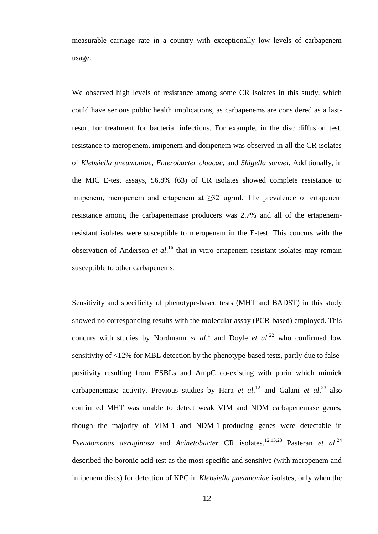measurable carriage rate in a country with exceptionally low levels of carbapenem usage.

We observed high levels of resistance among some CR isolates in this study, which could have serious public health implications, as carbapenems are considered as a lastresort for treatment for bacterial infections. For example, in the disc diffusion test, resistance to meropenem, imipenem and doripenem was observed in all the CR isolates of *Klebsiella pneumoniae*, *Enterobacter cloacae*, and *Shigella sonnei*. Additionally, in the MIC E-test assays, 56.8% (63) of CR isolates showed complete resistance to imipenem, meropenem and ertapenem at  $\geq 32$  µg/ml. The prevalence of ertapenem resistance among the carbapenemase producers was 2.7% and all of the ertapenemresistant isolates were susceptible to meropenem in the E-test. This concurs with the observation of Anderson *et al*. <sup>16</sup> that in vitro ertapenem resistant isolates may remain susceptible to other carbapenems.

Sensitivity and specificity of phenotype-based tests (MHT and BADST) in this study showed no corresponding results with the molecular assay (PCR-based) employed. This concurs with studies by Nordmann *et al.*<sup>1</sup> and Doyle *et al.*<sup>22</sup> who confirmed low sensitivity of <12% for MBL detection by the phenotype-based tests, partly due to falsepositivity resulting from ESBLs and AmpC co-existing with porin which mimick carbapenemase activity. Previous studies by Hara *et al.*<sup>12</sup> and Galani *et al.*<sup>23</sup> also confirmed MHT was unable to detect weak VIM and NDM carbapenemase genes, though the majority of VIM-1 and NDM-1-producing genes were detectable in Pseudomonas aeruginosa and *Acinetobacter* CR isolates.<sup>12,13,23</sup> Pasteran *et al.*<sup>24</sup> described the boronic acid test as the most specific and sensitive (with meropenem and imipenem discs) for detection of KPC in *Klebsiella pneumoniae* isolates, only when the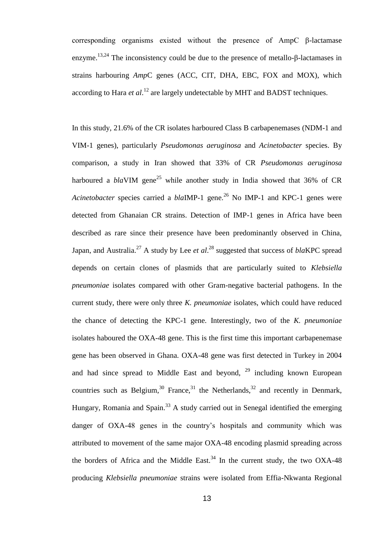corresponding organisms existed without the presence of AmpC β-lactamase enzyme.<sup>13,24</sup> The inconsistency could be due to the presence of metallo- $\beta$ -lactamases in strains harbouring *Amp*C genes (ACC, CIT, DHA, EBC, FOX and MOX), which according to Hara *et al*. <sup>12</sup> are largely undetectable by MHT and BADST techniques.

In this study, 21.6% of the CR isolates harboured Class B carbapenemases (NDM-1 and VIM-1 genes), particularly *Pseudomonas aeruginosa* and *Acinetobacter* species. By comparison, a study in Iran showed that 33% of CR *Pseudomonas aeruginosa* harboured a  $blaVIM$  gene<sup>25</sup> while another study in India showed that 36% of CR *Acinetobacter* species carried a *blaIMP-1* gene.<sup>26</sup> No IMP-1 and KPC-1 genes were detected from Ghanaian CR strains. Detection of IMP-1 genes in Africa have been described as rare since their presence have been predominantly observed in China, Japan, and Australia.<sup>27</sup> A study by Lee *et al.*<sup>28</sup> suggested that success of *blaKPC* spread depends on certain clones of plasmids that are particularly suited to *Klebsiella pneumoniae* isolates compared with other Gram-negative bacterial pathogens. In the current study, there were only three *K. pneumoniae* isolates, which could have reduced the chance of detecting the KPC-1 gene. Interestingly, two of the *K. pneumoniae* isolates haboured the OXA-48 gene. This is the first time this important carbapenemase gene has been observed in Ghana. OXA-48 gene was first detected in Turkey in 2004 and had since spread to Middle East and beyond,  $29$  including known European countries such as Belgium,<sup>30</sup> France,<sup>31</sup> the Netherlands,<sup>32</sup> and recently in Denmark, Hungary, Romania and Spain.<sup>33</sup> A study carried out in Senegal identified the emerging danger of OXA-48 genes in the country's hospitals and community which was attributed to movement of the same major OXA-48 encoding plasmid spreading across the borders of Africa and the Middle East.<sup>34</sup> In the current study, the two OXA-48 producing *Klebsiella pneumoniae* strains were isolated from Effia-Nkwanta Regional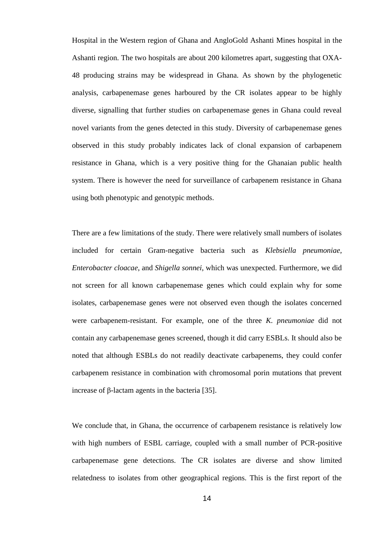Hospital in the Western region of Ghana and AngloGold Ashanti Mines hospital in the Ashanti region. The two hospitals are about 200 kilometres apart, suggesting that OXA-48 producing strains may be widespread in Ghana. As shown by the phylogenetic analysis, carbapenemase genes harboured by the CR isolates appear to be highly diverse, signalling that further studies on carbapenemase genes in Ghana could reveal novel variants from the genes detected in this study. Diversity of carbapenemase genes observed in this study probably indicates lack of clonal expansion of carbapenem resistance in Ghana, which is a very positive thing for the Ghanaian public health system. There is however the need for surveillance of carbapenem resistance in Ghana using both phenotypic and genotypic methods.

There are a few limitations of the study. There were relatively small numbers of isolates included for certain Gram-negative bacteria such as *Klebsiella pneumoniae*, *Enterobacter cloacae*, and *Shigella sonnei*, which was unexpected. Furthermore, we did not screen for all known carbapenemase genes which could explain why for some isolates, carbapenemase genes were not observed even though the isolates concerned were carbapenem-resistant. For example, one of the three *K. pneumoniae* did not contain any carbapenemase genes screened, though it did carry ESBLs. It should also be noted that although ESBLs do not readily deactivate carbapenems, they could confer carbapenem resistance in combination with chromosomal porin mutations that prevent increase of β-lactam agents in the bacteria [35].

We conclude that, in Ghana, the occurrence of carbapenem resistance is relatively low with high numbers of ESBL carriage, coupled with a small number of PCR-positive carbapenemase gene detections. The CR isolates are diverse and show limited relatedness to isolates from other geographical regions. This is the first report of the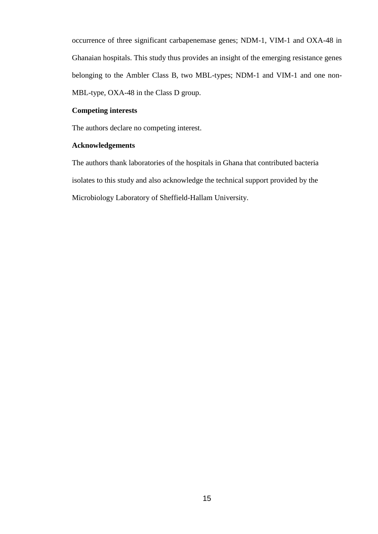occurrence of three significant carbapenemase genes; NDM-1, VIM-1 and OXA-48 in Ghanaian hospitals. This study thus provides an insight of the emerging resistance genes belonging to the Ambler Class B, two MBL-types; NDM-1 and VIM-1 and one non-MBL-type, OXA-48 in the Class D group.

# **Competing interests**

The authors declare no competing interest.

# **Acknowledgements**

The authors thank laboratories of the hospitals in Ghana that contributed bacteria isolates to this study and also acknowledge the technical support provided by the Microbiology Laboratory of Sheffield-Hallam University.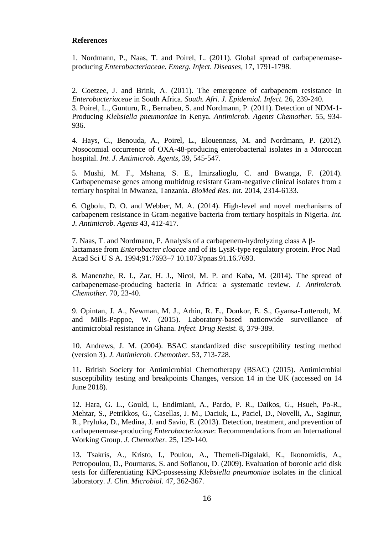# **References**

1. Nordmann, P., Naas, T. and Poirel, L. (2011). Global spread of carbapenemaseproducing *Enterobacteriaceae. Emerg. Infect. Diseases,* 17, 1791-1798.

2. Coetzee, J. and Brink, A. (2011). The emergence of carbapenem resistance in *Enterobacteriaceae* in South Africa. *South. Afri. J. Epidemiol. Infect.* 26, 239-240. 3. Poirel, L., Gunturu, R., Bernabeu, S. and Nordmann, P. (2011). Detection of NDM-1- Producing *Klebsiella pneumoniae* in Kenya. *Antimicrob. Agents Chemother.* 55, 934- 936.

4. Hays, C., Benouda, A., Poirel, L., Elouennass, M. and Nordmann, P. (2012). Nosocomial occurrence of OXA-48-producing enterobacterial isolates in a Moroccan hospital. *Int. J. Antimicrob. Agents,* 39, 545-547.

5. Mushi, M. F., Mshana, S. E., Imirzalioglu, C. and Bwanga, F. (2014). Carbapenemase genes among multidrug resistant Gram-negative clinical isolates from a tertiary hospital in Mwanza, Tanzania. *BioMed Res. Int.* 2014, 2314-6133.

6. Ogbolu, D. O. and Webber, M. A. (2014). High-level and novel mechanisms of carbapenem resistance in Gram-negative bacteria from tertiary hospitals in Nigeria. *Int. J. Antimicrob. Agents* 43, 412-417.

7. Naas, T. and Nordmann, P. Analysis of a carbapenem-hydrolyzing class A βlactamase from *Enterobacter cloacae* and of its LysR-type regulatory protein. Proc Natl Acad Sci U S A. 1994;91:7693–7 10.1073/pnas.91.16.7693.

8. Manenzhe, R. I., Zar, H. J., Nicol, M. P. and Kaba, M. (2014). The spread of carbapenemase-producing bacteria in Africa: a systematic review. *J. Antimicrob. Chemother.* 70, 23-40.

9. Opintan, J. A., Newman, M. J., Arhin, R. E., Donkor, E. S., Gyansa-Lutterodt, M. and Mills-Pappoe, W. (2015). Laboratory-based nationwide surveillance of antimicrobial resistance in Ghana. *Infect. Drug Resist.* 8, 379-389.

10. Andrews, J. M. (2004). BSAC standardized disc susceptibility testing method (version 3). *J. Antimicrob. Chemother*. 53, 713-728.

11. British Society for Antimicrobial Chemotherapy (BSAC) (2015). Antimicrobial susceptibility testing and breakpoints Changes, version 14 in the UK (accessed on 14 June 2018).

12. Hara, G. L., Gould, I., Endimiani, A., Pardo, P. R., Daikos, G., Hsueh, Po-R., Mehtar, S., Petrikkos, G., Casellas, J. M., Daciuk, L., Paciel, D., Novelli, A., Saginur, R., Pryluka, D., Medina, J. and Savio, E. (2013). Detection, treatment, and prevention of carbapenemase-producing *Enterobacteriaceae*: Recommendations from an International Working Group. *J. Chemother.* 25, 129-140.

13. Tsakris, A., Kristo, I., Poulou, A., Themeli-Digalaki, K., Ikonomidis, A., Petropoulou, D., Pournaras, S. and Sofianou, D. (2009). Evaluation of boronic acid disk tests for differentiating KPC-possessing *Klebsiella pneumoniae* isolates in the clinical laboratory. *J. Clin. Microbiol.* 47, 362-367.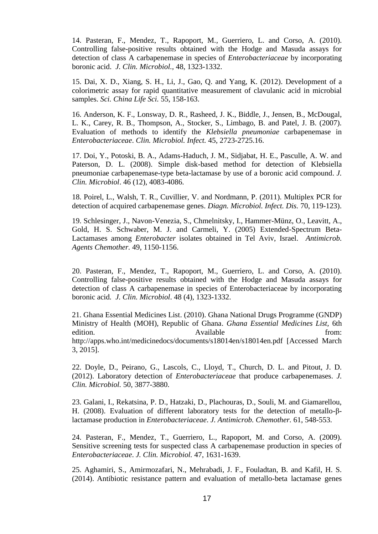14. Pasteran, F., Mendez, T., Rapoport, M., Guerriero, L. and Corso, A. (2010). Controlling false-positive results obtained with the Hodge and Masuda assays for detection of class A carbapenemase in species of *Enterobacteriaceae* by incorporating boronic acid. *J. Clin. Microbiol.,* 48, 1323-1332.

15. Dai, X. D., Xiang, S. H., Li, J., Gao, Q. and Yang, K. (2012). Development of a colorimetric assay for rapid quantitative measurement of clavulanic acid in microbial samples. *Sci. China Life Sci.* 55, 158-163.

16. Anderson, K. F., Lonsway, D. R., Rasheed, J. K., Biddle, J., Jensen, B., McDougal, L. K., Carey, R. B., Thompson, A., Stocker, S., Limbago, B. and Patel, J. B. (2007). Evaluation of methods to identify the *Klebsiella pneumoniae* carbapenemase in *Enterobacteriaceae*. *Clin. Microbiol. Infect.* 45, 2723-2725.16.

17. Doi, Y., Potoski, B. A., Adams-Haduch, J. M., Sidjabat, H. E., Pasculle, A. W. and Paterson, D. L. (2008). Simple disk-based method for detection of Klebsiella pneumoniae carbapenemase-type beta-lactamase by use of a boronic acid compound. *J. Clin. Microbiol*. 46 (12), 4083-4086.

18. Poirel, L., Walsh, T. R., Cuvillier, V. and Nordmann, P. (2011). Multiplex PCR for detection of acquired carbapenemase genes. *Diagn. Microbiol. Infect. Dis.* 70, 119-123).

19. Schlesinger, J., Navon-Venezia, S., Chmelnitsky, I., Hammer-Münz, O., Leavitt, A., Gold, H. S. Schwaber, M. J. and Carmeli, Y. (2005) Extended-Spectrum Beta-Lactamases among *Enterobacter* isolates obtained in Tel Aviv, Israel. *Antimicrob. Agents Chemother.* 49, 1150-1156.

20. Pasteran, F., Mendez, T., Rapoport, M., Guerriero, L. and Corso, A. (2010). Controlling false-positive results obtained with the Hodge and Masuda assays for detection of class A carbapenemase in species of Enterobacteriaceae by incorporating boronic acid*. J. Clin. Microbiol*. 48 (4), 1323-1332.

21. Ghana Essential Medicines List. (2010). Ghana National Drugs Programme (GNDP) Ministry of Health (MOH), Republic of Ghana. *Ghana Essential Medicines List,* 6th edition. Available from: http://apps.who.int/medicinedocs/documents/s18014en/s18014en.pdf [Accessed March 3, 2015].

22. Doyle, D., Peirano, G., Lascols, C., Lloyd, T., Church, D. L. and Pitout, J. D. (2012). Laboratory detection of *Enterobacteriaceae* that produce carbapenemases. *J. Clin. Microbiol.* 50, 3877-3880.

23. Galani, I., Rekatsina, P. D., Hatzaki, D., Plachouras, D., Souli, M. and Giamarellou, H. (2008). Evaluation of different laboratory tests for the detection of metallo-βlactamase production in *Enterobacteriaceae*. *J. Antimicrob. Chemother.* 61, 548-553.

24. Pasteran, F., Mendez, T., Guerriero, L., Rapoport, M. and Corso, A. (2009). Sensitive screening tests for suspected class A carbapenemase production in species of *Enterobacteriaceae*. *J. Clin. Microbiol.* 47, 1631-1639.

25. Aghamiri, S., Amirmozafari, N., Mehrabadi, J. F., Fouladtan, B. and Kafil, H. S. (2014). Antibiotic resistance pattern and evaluation of metallo-beta lactamase genes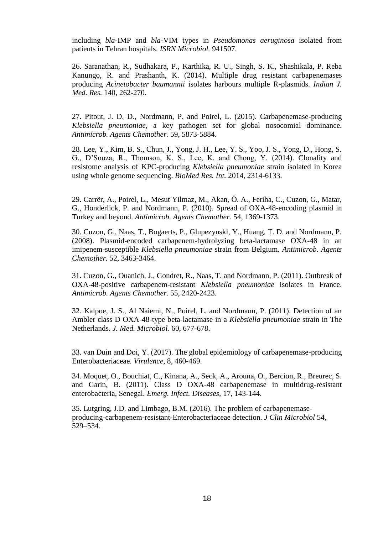including *bla*-IMP and *bla*-VIM types in *Pseudomonas aeruginosa* isolated from patients in Tehran hospitals. *ISRN Microbiol.* 941507.

26. Saranathan, R., Sudhakara, P., Karthika, R. U., Singh, S. K., Shashikala, P. Reba Kanungo, R. and Prashanth, K. (2014). Multiple drug resistant carbapenemases producing *Acinetobacter baumannii* isolates harbours multiple R-plasmids. *Indian J. Med. Res.* 140, 262-270.

27. Pitout, J. D. D., Nordmann, P. and Poirel, L. (2015). Carbapenemase-producing *Klebsiella pneumoniae*, a key pathogen set for global nosocomial dominance. *Antimicrob. Agents Chemother.* 59, 5873-5884.

28. Lee, Y., Kim, B. S., Chun, J., Yong, J. H., Lee, Y. S., Yoo, J. S., Yong, D., Hong, S. G., D'Souza, R., Thomson, K. S., Lee, K. and Chong, Y. (2014). Clonality and resistome analysis of KPC-producing *Klebsiella pneumoniae* strain isolated in Korea using whole genome sequencing. *BioMed Res. Int.* 2014, 2314-6133.

29. Carrër, A., Poirel, L., Mesut Yilmaz, M., Akan, Ö. A., Feriha, C., Cuzon, G., Matar, G., Honderlick, P. and Nordmann, P. (2010). Spread of OXA-48-encoding plasmid in Turkey and beyond. *Antimicrob. Agents Chemother.* 54, 1369-1373.

30. Cuzon, G., Naas, T., Bogaerts, P., Glupezynski, Y., Huang, T. D. and Nordmann, P. (2008). Plasmid-encoded carbapenem-hydrolyzing beta-lactamase OXA-48 in an imipenem-susceptible *Klebsiella pneumoniae* strain from Belgium. *Antimicrob. Agents Chemother.* 52, 3463-3464.

31. Cuzon, G., Ouanich, J., Gondret, R., Naas, T. and Nordmann, P. (2011). Outbreak of OXA-48-positive carbapenem-resistant *Klebsiella pneumoniae* isolates in France. *Antimicrob. Agents Chemother.* 55, 2420-2423.

32. Kalpoe, J. S., Al Naiemi, N., Poirel, L. and Nordmann, P. (2011). Detection of an Ambler class D OXA-48-type beta-lactamase in a *Klebsiella pneumoniae* strain in The Netherlands. *J. Med. Microbiol.* 60, 677-678.

33. van Duin and Doi, Y. (2017). The global epidemiology of carbapenemase-producing Enterobacteriaceae. *Virulence*, 8, 460-469.

34. Moquet, O., Bouchiat, C., Kinana, A., Seck, A., Arouna, O., Bercion, R., Breurec, S. and Garin, B. (2011). Class D OXA-48 carbapenemase in multidrug-resistant enterobacteria, Senegal. *Emerg. Infect. Diseases,* 17, 143-144.

35. Lutgring, J.D. and Limbago, B.M. (2016). The problem of carbapenemaseproducing-carbapenem-resistant-Enterobacteriaceae detection. *J Clin Microbiol* 54, 529–534.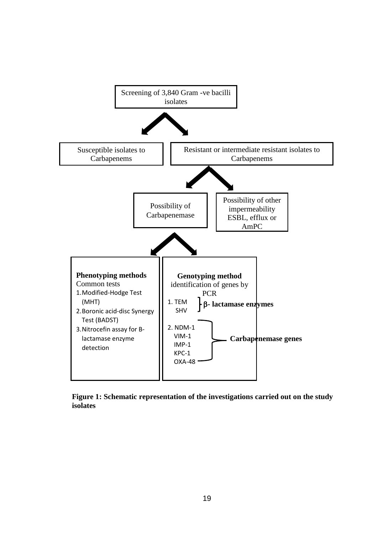

**Figure 1: Schematic representation of the investigations carried out on the study isolates**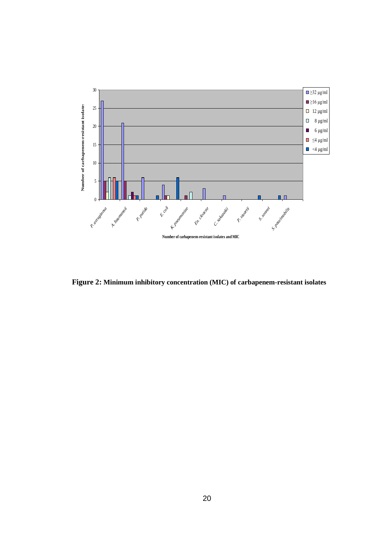

**Figure 2: Minimum inhibitory concentration (MIC) of carbapenem-resistant isolates**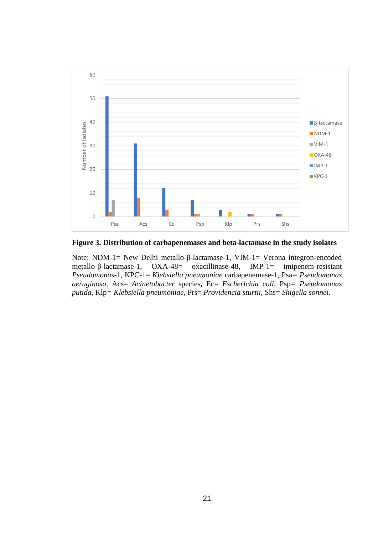

**Figure 3. Distribution of carbapenemases and beta-lactamase in the study isolates**

Note: NDM-1= New Delhi metallo-β-lactamase-1, VIM-1= Verona integron-encoded metallo-β-lactamase-1, OXA-48= oxacillinase-48, IMP-1= imipenem-resistant *Pseudomonas*-1, KPC-1= *Klebsiella pneumoniae* carbapenemase-1, Psa*= Pseudomonas aeruginosa,* Acs= *Acinetobacter* species**,** Ec= *Escherichia coli,* Psp*= Pseudomonas putida*, Klp*= Klebsiella pneumoniae*, Prs= *Providencia sturtii*, Shs= *Shigella sonnei*.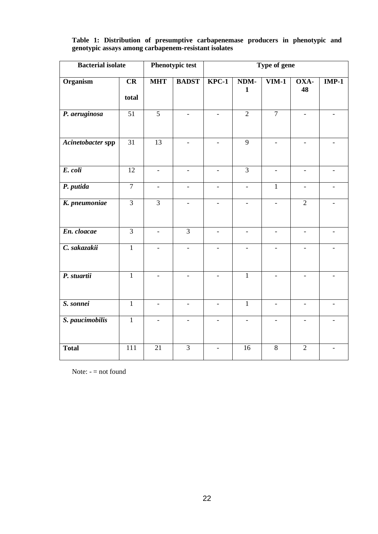| <b>Bacterial isolate</b> | Phenotypic test  |                          | Type of gene             |                          |                          |                          |                |         |
|--------------------------|------------------|--------------------------|--------------------------|--------------------------|--------------------------|--------------------------|----------------|---------|
| Organism                 | CR<br>total      | <b>MHT</b>               | <b>BADST</b>             | $KPC-1$                  | NDM-<br>$\mathbf{1}$     | $\overline{\text{VM-1}}$ | OXA-<br>48     | $IMP-1$ |
| P. aeruginosa            | 51               | $\overline{5}$           |                          | $\overline{a}$           | $\overline{2}$           | $\overline{7}$           |                |         |
| Acinetobacter spp        | $\overline{31}$  | $\overline{13}$          |                          | $\overline{a}$           | $\overline{9}$           |                          |                |         |
| E. coli                  | $\overline{12}$  | $\overline{\phantom{0}}$ | $\overline{a}$           | $\overline{a}$           | $\overline{3}$           | $\overline{a}$           |                |         |
| P. putida                | $\overline{7}$   | $\overline{a}$           | $\overline{a}$           | $\overline{\phantom{0}}$ | $\overline{\phantom{0}}$ | $\mathbf{1}$             | $\overline{a}$ |         |
| K. pneumoniae            | $\overline{3}$   | $\overline{3}$           |                          | $\overline{a}$           |                          |                          | $\overline{2}$ |         |
| En. cloacae              | $\overline{3}$   |                          | $\overline{3}$           | $\blacksquare$           |                          |                          |                |         |
| C. sakazakii             | $\overline{1}$   |                          | $\overline{\phantom{a}}$ |                          |                          |                          |                |         |
| P. stuartii              | $\overline{1}$   |                          |                          |                          | $\mathbf{1}$             |                          |                |         |
| S. sonnei                | $\overline{1}$   |                          |                          | $\equiv$                 | $\mathbf{1}$             |                          |                |         |
| S. paucimobilis          | $\mathbf{1}$     |                          |                          |                          |                          |                          |                |         |
| <b>Total</b>             | $\overline{111}$ | $\overline{21}$          | $\overline{3}$           |                          | 16                       | 8                        | $\overline{2}$ |         |

**Table 1: Distribution of presumptive carbapenemase producers in phenotypic and genotypic assays among carbapenem-resistant isolates**

Note: - = not found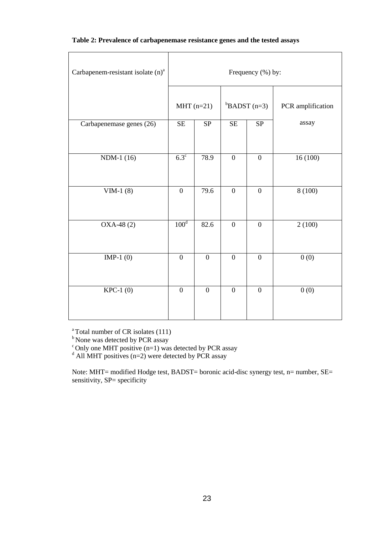| Carbapenem-resistant isolate $(n)^a$ | Frequency (%) by: |                  |                        |                  |                   |  |  |
|--------------------------------------|-------------------|------------------|------------------------|------------------|-------------------|--|--|
|                                      | $MHT$ (n=21)      |                  |                        | $B$ ADST (n=3)   | PCR amplification |  |  |
| Carbapenemase genes (26)             | SE                | SP               | $\overline{\text{SE}}$ | SP               | assay             |  |  |
| NDM-1 (16)                           | $6.3^{\circ}$     | 78.9             | $\boldsymbol{0}$       | $\boldsymbol{0}$ | 16(100)           |  |  |
| VIM-1 $(8)$                          | $\overline{0}$    | 79.6             | $\overline{0}$         | $\overline{0}$   | 8(100)            |  |  |
| $OXA-48(2)$                          | 100 <sup>d</sup>  | 82.6             | $\overline{0}$         | $\overline{0}$   | 2(100)            |  |  |
| IMP-1 $(0)$                          | $\boldsymbol{0}$  | $\boldsymbol{0}$ | $\boldsymbol{0}$       | $\boldsymbol{0}$ | 0(0)              |  |  |
| $KPC-1$ (0)                          | $\overline{0}$    | $\mathbf{0}$     | $\overline{0}$         | $\overline{0}$   | 0(0)              |  |  |

## **Table 2: Prevalence of carbapenemase resistance genes and the tested assays**

 $a^a$ Total number of CR isolates (111)

<sup>b</sup> None was detected by PCR assay

 $\textdegree$  Only one MHT positive (n=1) was detected by PCR assay

 $d$  All MHT positives (n=2) were detected by PCR assay

Note: MHT= modified Hodge test, BADST= boronic acid-disc synergy test, n= number, SE= sensitivity, SP= specificity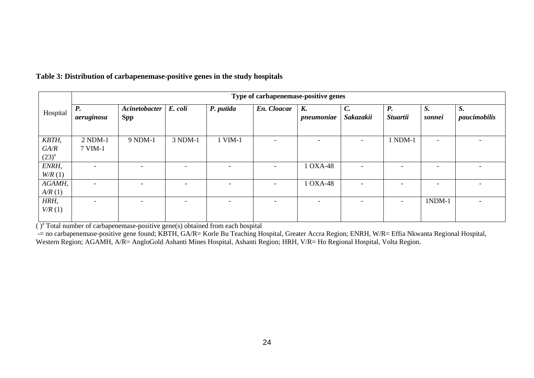|                  | Type of carbapenemase-positive genes |                             |                          |                          |             |                  |                              |                              |                          |                    |
|------------------|--------------------------------------|-----------------------------|--------------------------|--------------------------|-------------|------------------|------------------------------|------------------------------|--------------------------|--------------------|
| Hospital         | <b>P.</b><br>aeruginosa              | Acinetobacter<br><b>Spp</b> | E. coli                  | P. putida                | En. Cloacae | K.<br>pneumoniae | $\mathcal{C}$ .<br>Sakazakii | <b>P.</b><br><b>Stuartii</b> | S.<br>sonnei             | S.<br>paucimobilis |
| KBTH,<br>GA/R    | $2 NDM-1$<br>7 VIM-1                 | 9 NDM-1                     | 3 NDM-1                  | 1 VIM-1                  |             |                  |                              | 1 NDM-1                      | $\overline{\phantom{0}}$ |                    |
| $(23)^{a}$       |                                      |                             |                          |                          |             |                  |                              |                              |                          |                    |
| ENRH,<br>W/R(1)  | $\overline{\phantom{a}}$             | $\overline{\phantom{0}}$    | $\overline{\phantom{a}}$ | $\overline{\phantom{a}}$ |             | 1 OXA-48         |                              | $\overline{\phantom{0}}$     | $\overline{\phantom{0}}$ |                    |
| AGAMH,<br>A/R(1) | $\overline{\phantom{a}}$             | $\overline{\phantom{0}}$    | $\overline{\phantom{a}}$ | $\overline{\phantom{a}}$ |             | 1 OXA-48         |                              | $\overline{\phantom{0}}$     | $\overline{\phantom{0}}$ |                    |
| HRH,<br>V/R(1)   |                                      |                             |                          | $\overline{\phantom{0}}$ |             |                  |                              |                              | $1NDM-1$                 |                    |

# **Table 3: Distribution of carbapenemase-positive genes in the study hospitals**

 $\overline{()}^a$  Total number of carbapenemase-positive gene(s) obtained from each hospital

-= no carbapenemase-positive gene found; KBTH, GA/R= Korle Bu Teaching Hospital, Greater Accra Region; ENRH, W/R= Effia Nkwanta Regional Hospital, Western Region; AGAMH, A/R= AngloGold Ashanti Mines Hospital, Ashanti Region; HRH, V/R= Ho Regional Hospital, Volta Region.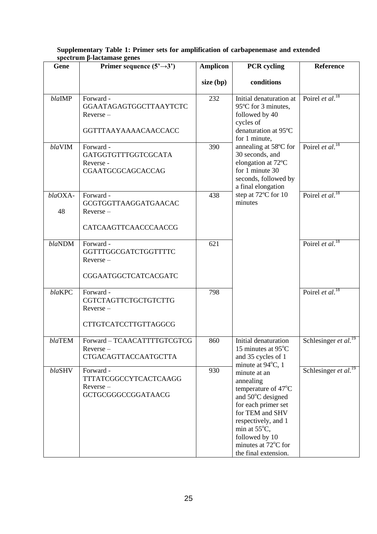| Gene          | mmov svno<br>Primer sequence $(5^3 \rightarrow 3^3)$                               | <b>Amplicon</b> | <b>PCR</b> cycling                                                                                                                                                                                                                | Reference                               |  |
|---------------|------------------------------------------------------------------------------------|-----------------|-----------------------------------------------------------------------------------------------------------------------------------------------------------------------------------------------------------------------------------|-----------------------------------------|--|
|               |                                                                                    | $size$ (bp)     | conditions                                                                                                                                                                                                                        |                                         |  |
| blaIMP        | Forward -<br>GGAATAGAGTGGCTTAAYTCTC<br>$Reverse -$<br><b>GGTTTAAYAAAAACAACCACC</b> | 232             | Initial denaturation at<br>95°C for 3 minutes,<br>followed by 40<br>cycles of<br>denaturation at 95°C<br>for 1 minute,                                                                                                            | Poirel et al. <sup>18</sup>             |  |
| blaVIM        | Forward -<br>GATGGTGTTTGGTCGCATA<br>Reverse -<br>CGAATGCGCAGCACCAG                 | 390             | annealing at 58°C for<br>30 seconds, and<br>elongation at 72°C<br>for 1 minute 30<br>seconds, followed by<br>a final elongation                                                                                                   | Poirel <i>et al.</i> <sup>18</sup>      |  |
| blaOXA-<br>48 | Forward -<br>GCGTGGTTAAGGATGAACAC<br>$Reverse -$<br>CATCAAGTTCAACCCAACCG           | 438             | step at 72°C for 10<br>minutes                                                                                                                                                                                                    | Poirel et al. <sup>18</sup>             |  |
| blaNDM        | Forward -<br>GGTTTGGCGATCTGGTTTTC<br>$Reverse -$<br>CGGAATGGCTCATCACGATC           | 621             |                                                                                                                                                                                                                                   | Poirel <i>et al.</i> <sup>18</sup>      |  |
| blaKPC        | Forward -<br>CGTCTAGTTCTGCTGTCTTG<br>$Reverse -$<br>CTTGTCATCCTTGTTAGGCG           | 798             |                                                                                                                                                                                                                                   | Poirel et al. <sup>18</sup>             |  |
| blaTEM        | Forward-TCAACATTTTGTCGTCG<br>$Reverse -$<br><b>CTGACAGTTACCAATGCTTA</b>            | 860             | Initial denaturation<br>15 minutes at $95^{\circ}$ C<br>and 35 cycles of 1<br>minute at $94^{\circ}$ C, 1                                                                                                                         | Schlesinger <i>et al.</i> <sup>19</sup> |  |
| blaSHV        | Forward -<br>TTTATCGGCCYTCACTCAAGG<br>Reverse-<br>GCTGCGGGCCGGATAACG               | 930             | minute at an<br>annealing<br>temperature of 47°C<br>and 50°C designed<br>for each primer set<br>for TEM and SHV<br>respectively, and 1<br>min at $55^{\circ}$ C,<br>followed by 10<br>minutes at 72°C for<br>the final extension. | Schlesinger et al. <sup>19</sup>        |  |

# **Supplementary Table 1: Primer sets for amplification of carbapenemase and extended spectrum β-lactamase genes**